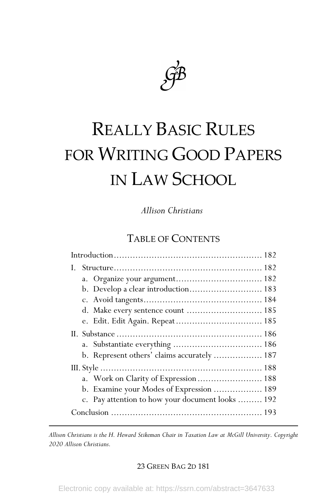

# REALLY BASIC RULES FOR WRITING GOOD PAPERS IN LAW SCHOOL

*Allison Christians†*

# TABLE OF CONTENTS

| b. Develop a clear introduction 183              |  |
|--------------------------------------------------|--|
|                                                  |  |
|                                                  |  |
|                                                  |  |
|                                                  |  |
|                                                  |  |
| b. Represent others' claims accurately  187      |  |
|                                                  |  |
| a. Work on Clarity of Expression  188            |  |
| b. Examine your Modes of Expression  189         |  |
| c. Pay attention to how your document looks  192 |  |
|                                                  |  |

 *† Allison Christians is the H. Heward Stikeman Chair in Taxation Law at McGill University. Copyright 2020 Allison Christians.*

## 23 GREEN BAG 2D 181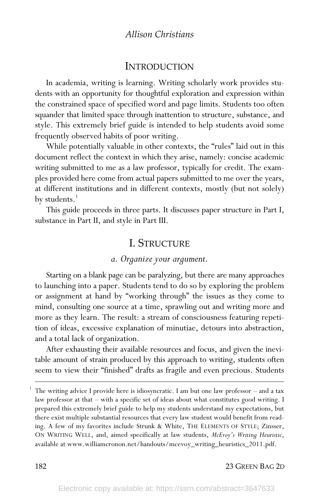# **INTRODUCTION**

In academia, writing is learning. Writing scholarly work provides students with an opportunity for thoughtful exploration and expression within the constrained space of specified word and page limits. Students too often squander that limited space through inattention to structure, substance, and style. This extremely brief guide is intended to help students avoid some frequently observed habits of poor writing.

While potentially valuable in other contexts, the "rules" laid out in this document reflect the context in which they arise, namely: concise academic writing submitted to me as a law professor, typically for credit. The examples provided here come from actual papers submitted to me over the years, at different institutions and in different contexts, mostly (but not solely) by students.<sup>1</sup>

This guide proceeds in three parts. It discusses paper structure in Part I, substance in Part II, and style in Part III.

## I. STRUCTURE

## *a. Organize your argument.*

Starting on a blank page can be paralyzing, but there are many approaches to launching into a paper. Students tend to do so by exploring the problem or assignment at hand by "working through" the issues as they come to mind, consulting one source at a time, sprawling out and writing more and more as they learn. The result: a stream of consciousness featuring repetition of ideas, excessive explanation of minutiae, detours into abstraction, and a total lack of organization.

After exhausting their available resources and focus, and given the inevitable amount of strain produced by this approach to writing, students often seem to view their "finished" drafts as fragile and even precious. Students

 <sup>1</sup> The writing advice I provide here is idiosyncratic. I am but one law professor – and a tax law professor at that – with a specific set of ideas about what constitutes good writing. I prepared this extremely brief guide to help my students understand my expectations, but there exist multiple substantial resources that every law student would benefit from reading. A few of my favorites include Strunk & White, THE ELEMENTS OF STYLE; Zinsser, ON WRITING WELL, and, aimed specifically at law students, *McEvoy's Writing Heuristic*, available at www.williamcronon.net/handouts/mcevoy\_writing\_heuristics\_2011.pdf.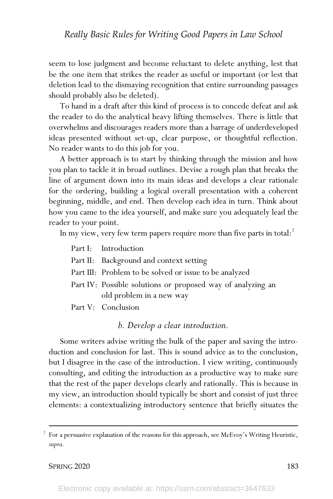seem to lose judgment and become reluctant to delete anything, lest that be the one item that strikes the reader as useful or important (or lest that deletion lead to the dismaying recognition that entire surrounding passages should probably also be deleted).

To hand in a draft after this kind of process is to concede defeat and ask the reader to do the analytical heavy lifting themselves. There is little that overwhelms and discourages readers more than a barrage of underdeveloped ideas presented without set-up, clear purpose, or thoughtful reflection. No reader wants to do this job for you.

A better approach is to start by thinking through the mission and how you plan to tackle it in broad outlines. Devise a rough plan that breaks the line of argument down into its main ideas and develops a clear rationale for the ordering, building a logical overall presentation with a coherent beginning, middle, and end. Then develop each idea in turn. Think about how you came to the idea yourself, and make sure you adequately lead the reader to your point.

In my view, very few term papers require more than five parts in total: $^2$ 

- Part I: Introduction
- Part II: Background and context setting
- Part III: Problem to be solved or issue to be analyzed
- Part IV: Possible solutions or proposed way of analyzing an old problem in a new way

Part V: Conclusion

*b. Develop a clear introduction.*

Some writers advise writing the bulk of the paper and saving the introduction and conclusion for last. This is sound advice as to the conclusion, but I disagree in the case of the introduction. I view writing, continuously consulting, and editing the introduction as a productive way to make sure that the rest of the paper develops clearly and rationally. This is because in my view, an introduction should typically be short and consist of just three elements: a contextualizing introductory sentence that briefly situates the

 <sup>2</sup> For a persuasive explanation of the reasons for this approach, see McEvoy's Writing Heuristic, *supra.*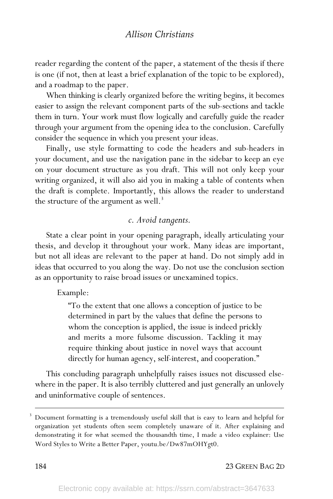reader regarding the content of the paper, a statement of the thesis if there is one (if not, then at least a brief explanation of the topic to be explored), and a roadmap to the paper.

When thinking is clearly organized before the writing begins, it becomes easier to assign the relevant component parts of the sub-sections and tackle them in turn. Your work must flow logically and carefully guide the reader through your argument from the opening idea to the conclusion. Carefully consider the sequence in which you present your ideas.

Finally, use style formatting to code the headers and sub-headers in your document, and use the navigation pane in the sidebar to keep an eye on your document structure as you draft. This will not only keep your writing organized, it will also aid you in making a table of contents when the draft is complete. Importantly, this allows the reader to understand the structure of the argument as well.<sup>3</sup>

## *c. Avoid tangents.*

State a clear point in your opening paragraph, ideally articulating your thesis, and develop it throughout your work. Many ideas are important, but not all ideas are relevant to the paper at hand. Do not simply add in ideas that occurred to you along the way. Do not use the conclusion section as an opportunity to raise broad issues or unexamined topics.

#### Example:

"To the extent that one allows a conception of justice to be determined in part by the values that define the persons to whom the conception is applied, the issue is indeed prickly and merits a more fulsome discussion. Tackling it may require thinking about justice in novel ways that account directly for human agency, self-interest, and cooperation."

This concluding paragraph unhelpfully raises issues not discussed elsewhere in the paper. It is also terribly cluttered and just generally an unlovely and uninformative couple of sentences.

 <sup>3</sup> Document formatting is a tremendously useful skill that is easy to learn and helpful for organization yet students often seem completely unaware of it. After explaining and demonstrating it for what seemed the thousandth time, I made a video explainer: Use Word Styles to Write a Better Paper, youtu.be/Dw87mOHYgt0.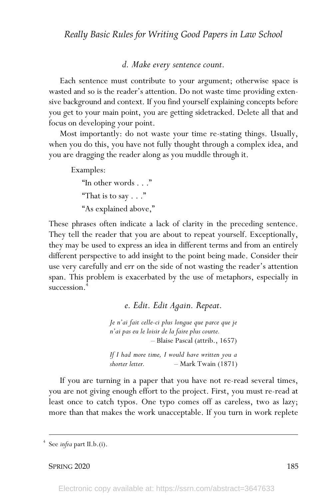## *d. Make every sentence count.*

Each sentence must contribute to your argument; otherwise space is wasted and so is the reader's attention. Do not waste time providing extensive background and context. If you find yourself explaining concepts before you get to your main point, you are getting sidetracked. Delete all that and focus on developing your point.

Most importantly: do not waste your time re-stating things. Usually, when you do this, you have not fully thought through a complex idea, and you are dragging the reader along as you muddle through it.

Examples:

"In other words . . ." "That is to say  $\ldots$ " "As explained above,"

These phrases often indicate a lack of clarity in the preceding sentence. They tell the reader that you are about to repeat yourself. Exceptionally, they may be used to express an idea in different terms and from an entirely different perspective to add insight to the point being made. Consider their use very carefully and err on the side of not wasting the reader's attention span. This problem is exacerbated by the use of metaphors, especially in succession.<sup>1</sup>

*e. Edit. Edit Again. Repeat.*

*Je n'ai fait celle-ci plus longue que parce que je n'ai pas eu le loisir de la faire plus courte.* – Blaise Pascal (attrib., 1657)

*If I had more time, I would have written you a shorter letter.* – Mark Twain (1871)

If you are turning in a paper that you have not re-read several times, you are not giving enough effort to the project. First, you must re-read at least once to catch typos. One typo comes off as careless, two as lazy; more than that makes the work unacceptable. If you turn in work replete

See *infra* part II.b.(i).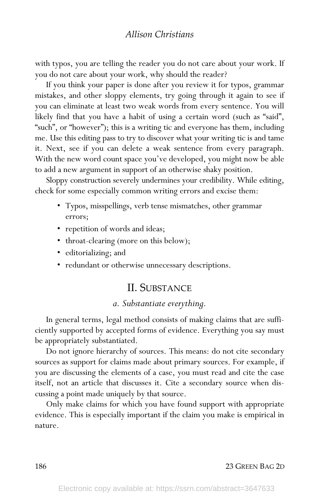with typos, you are telling the reader you do not care about your work. If you do not care about your work, why should the reader?

If you think your paper is done after you review it for typos, grammar mistakes, and other sloppy elements, try going through it again to see if you can eliminate at least two weak words from every sentence. You will likely find that you have a habit of using a certain word (such as "said", "such", or "however"); this is a writing tic and everyone has them, including me. Use this editing pass to try to discover what your writing tic is and tame it. Next, see if you can delete a weak sentence from every paragraph. With the new word count space you've developed, you might now be able to add a new argument in support of an otherwise shaky position.

Sloppy construction severely undermines your credibility. While editing, check for some especially common writing errors and excise them:

- Typos, misspellings, verb tense mismatches, other grammar errors;
- repetition of words and ideas;
- throat-clearing (more on this below);
- editorializing; and
- redundant or otherwise unnecessary descriptions.

# II. SUBSTANCE

## *a. Substantiate everything.*

In general terms, legal method consists of making claims that are sufficiently supported by accepted forms of evidence. Everything you say must be appropriately substantiated.

Do not ignore hierarchy of sources. This means: do not cite secondary sources as support for claims made about primary sources. For example, if you are discussing the elements of a case, you must read and cite the case itself, not an article that discusses it. Cite a secondary source when discussing a point made uniquely by that source.

Only make claims for which you have found support with appropriate evidence. This is especially important if the claim you make is empirical in nature.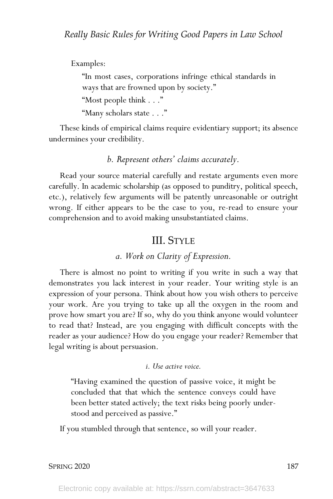Examples:

"In most cases, corporations infringe ethical standards in ways that are frowned upon by society."

"Most people think . . ."

"Many scholars state . . ."

These kinds of empirical claims require evidentiary support; its absence undermines your credibility.

# *b. Represent others' claims accurately.*

Read your source material carefully and restate arguments even more carefully. In academic scholarship (as opposed to punditry, political speech, etc.), relatively few arguments will be patently unreasonable or outright wrong. If either appears to be the case to you, re-read to ensure your comprehension and to avoid making unsubstantiated claims.

# III. STYLE

# *a. Work on Clarity of Expression.*

There is almost no point to writing if you write in such a way that demonstrates you lack interest in your reader. Your writing style is an expression of your persona. Think about how you wish others to perceive your work. Are you trying to take up all the oxygen in the room and prove how smart you are? If so, why do you think anyone would volunteer to read that? Instead, are you engaging with difficult concepts with the reader as your audience? How do you engage your reader? Remember that legal writing is about persuasion.

## *i. Use active voice.*

"Having examined the question of passive voice, it might be concluded that that which the sentence conveys could have been better stated actively; the text risks being poorly understood and perceived as passive."

If you stumbled through that sentence, so will your reader.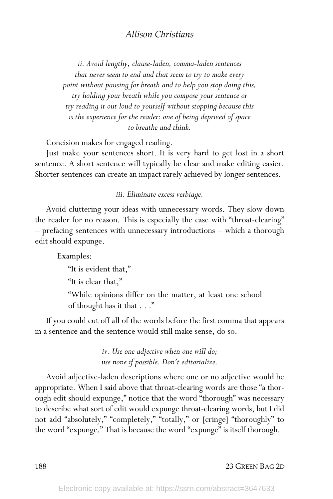*ii. Avoid lengthy, clause-laden, comma-laden sentences that never seem to end and that seem to try to make every point without pausing for breath and to help you stop doing this, try holding your breath while you compose your sentence or try reading it out loud to yourself without stopping because this is the experience for the reader: one of being deprived of space to breathe and think.*

Concision makes for engaged reading.

Just make your sentences short. It is very hard to get lost in a short sentence. A short sentence will typically be clear and make editing easier. Shorter sentences can create an impact rarely achieved by longer sentences.

*iii. Eliminate excess verbiage.*

Avoid cluttering your ideas with unnecessary words. They slow down the reader for no reason. This is especially the case with "throat-clearing" – prefacing sentences with unnecessary introductions – which a thorough edit should expunge.

Examples:

"It is evident that,"

"It is clear that,"

"While opinions differ on the matter, at least one school of thought has it that . . ."

If you could cut off all of the words before the first comma that appears in a sentence and the sentence would still make sense, do so.

> *iv. Use one adjective when one will do; use none if possible. Don't editorialize.*

Avoid adjective-laden descriptions where one or no adjective would be appropriate. When I said above that throat-clearing words are those "a thorough edit should expunge," notice that the word "thorough" was necessary to describe what sort of edit would expunge throat-clearing words, but I did not add "absolutely," "completely," "totally," or [cringe] "thoroughly" to the word "expunge." That is because the word "expunge" is itself thorough.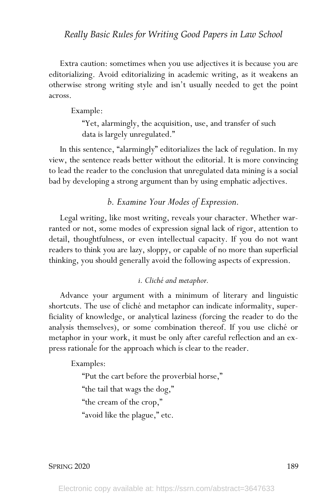## *Really Basic Rules for Writing Good Papers in Law School*

Extra caution: sometimes when you use adjectives it is because you are editorializing. Avoid editorializing in academic writing, as it weakens an otherwise strong writing style and isn't usually needed to get the point across.

Example:

"Yet, alarmingly, the acquisition, use, and transfer of such data is largely unregulated."

In this sentence, "alarmingly" editorializes the lack of regulation. In my view, the sentence reads better without the editorial. It is more convincing to lead the reader to the conclusion that unregulated data mining is a social bad by developing a strong argument than by using emphatic adjectives.

*b. Examine Your Modes of Expression.*

Legal writing, like most writing, reveals your character. Whether warranted or not, some modes of expression signal lack of rigor, attention to detail, thoughtfulness, or even intellectual capacity. If you do not want readers to think you are lazy, sloppy, or capable of no more than superficial thinking, you should generally avoid the following aspects of expression.

## *i. Cliché and metaphor.*

Advance your argument with a minimum of literary and linguistic shortcuts. The use of cliché and metaphor can indicate informality, superficiality of knowledge, or analytical laziness (forcing the reader to do the analysis themselves), or some combination thereof. If you use cliché or metaphor in your work, it must be only after careful reflection and an express rationale for the approach which is clear to the reader.

Examples:

"Put the cart before the proverbial horse," "the tail that wags the dog," "the cream of the crop," "avoid like the plague," etc.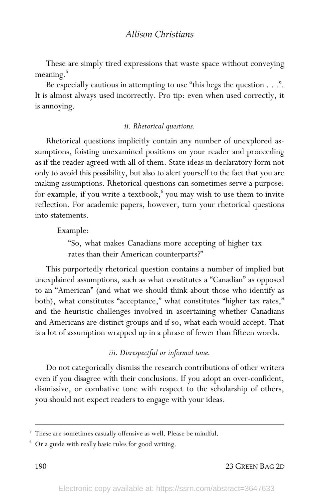These are simply tired expressions that waste space without conveying meaning.<sup>5</sup>

Be especially cautious in attempting to use "this begs the question . . .". It is almost always used incorrectly. Pro tip: even when used correctly, it is annoying.

#### *ii. Rhetorical questions.*

Rhetorical questions implicitly contain any number of unexplored assumptions, foisting unexamined positions on your reader and proceeding as if the reader agreed with all of them. State ideas in declaratory form not only to avoid this possibility, but also to alert yourself to the fact that you are making assumptions. Rhetorical questions can sometimes serve a purpose: for example, if you write a textbook, $6$  you may wish to use them to invite reflection. For academic papers, however, turn your rhetorical questions into statements.

Example:

"So, what makes Canadians more accepting of higher tax rates than their American counterparts?"

This purportedly rhetorical question contains a number of implied but unexplained assumptions, such as what constitutes a "Canadian" as opposed to an "American" (and what we should think about those who identify as both), what constitutes "acceptance," what constitutes "higher tax rates," and the heuristic challenges involved in ascertaining whether Canadians and Americans are distinct groups and if so, what each would accept. That is a lot of assumption wrapped up in a phrase of fewer than fifteen words.

*iii. Disrespectful or informal tone.*

Do not categorically dismiss the research contributions of other writers even if you disagree with their conclusions. If you adopt an over-confident, dismissive, or combative tone with respect to the scholarship of others, you should not expect readers to engage with your ideas.

<sup>&</sup>lt;sup>5</sup> These are sometimes casually offensive as well. Please be mindful.

<sup>6</sup> Or a guide with really basic rules for good writing.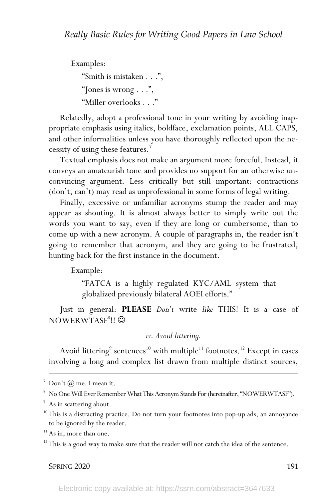Examples: "Smith is mistaken . . .", "Jones is wrong  $\ldots$ ", "Miller overlooks . . ."

Relatedly, adopt a professional tone in your writing by avoiding inappropriate emphasis using italics, boldface, exclamation points, ALL CAPS, and other informalities unless you have thoroughly reflected upon the necessity of using these features.<sup>7</sup>

Textual emphasis does not make an argument more forceful. Instead, it conveys an amateurish tone and provides no support for an otherwise unconvincing argument. Less critically but still important: contractions (don't, can't) may read as unprofessional in some forms of legal writing.

Finally, excessive or unfamiliar acronyms stump the reader and may appear as shouting. It is almost always better to simply write out the words you want to say, even if they are long or cumbersome, than to come up with a new acronym. A couple of paragraphs in, the reader isn't going to remember that acronym, and they are going to be frustrated, hunting back for the first instance in the document.

Example:

"FATCA is a highly regulated KYC/AML system that globalized previously bilateral AOEI efforts."

Just in general: **PLEASE** *Don't* write *like* THIS! It is a case of  $\mathrm{NOWLEDWTASF}^8!!$   $\odot$ 

*iv. Avoid littering.*

Avoid littering<sup>9</sup> sentences<sup>10</sup> with multiple<sup>11</sup> footnotes.<sup>12</sup> Except in cases involving a long and complex list drawn from multiple distinct sources,

 $^7$ Don't $(\overline{a})$ me. I mean it.

<sup>8</sup> No One Will Ever Remember What This Acronym Stands For (hereinafter, "NOWERWTASF").

<sup>&</sup>lt;sup>9</sup> As in scattering about.

<sup>&</sup>lt;sup>10</sup> This is a distracting practice. Do not turn your footnotes into pop-up ads, an annoyance to be ignored by the reader.

 $\rm ^{11}$  As in, more than one.

 $12$ <sup>12</sup> This is a good way to make sure that the reader will not catch the idea of the sentence.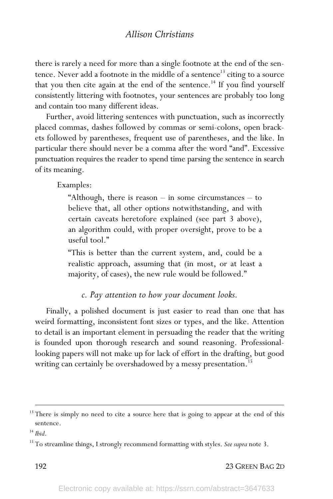there is rarely a need for more than a single footnote at the end of the sentence. Never add a footnote in the middle of a sentence<sup>13</sup> citing to a source that you then cite again at the end of the sentence.<sup>14</sup> If you find yourself consistently littering with footnotes, your sentences are probably too long and contain too many different ideas.

Further, avoid littering sentences with punctuation, such as incorrectly placed commas, dashes followed by commas or semi-colons, open brackets followed by parentheses, frequent use of parentheses, and the like. In particular there should never be a comma after the word "and". Excessive punctuation requires the reader to spend time parsing the sentence in search of its meaning.

Examples:

"Although, there is reason  $-$  in some circumstances  $-$  to believe that, all other options notwithstanding, and with certain caveats heretofore explained (see part 3 above), an algorithm could, with proper oversight, prove to be a useful tool."

"This is better than the current system, and, could be a realistic approach, assuming that (in most, or at least a majority, of cases), the new rule would be followed."

## *c. Pay attention to how your document looks.*

Finally, a polished document is just easier to read than one that has weird formatting, inconsistent font sizes or types, and the like. Attention to detail is an important element in persuading the reader that the writing is founded upon thorough research and sound reasoning. Professionallooking papers will not make up for lack of effort in the drafting, but good writing can certainly be overshadowed by a messy presentation.<sup>15</sup>

192 23 GREEN BAG 2D

<sup>&</sup>lt;sup>13</sup> There is simply no need to cite a source here that is going to appear at the end of this sentence.

<sup>14</sup> *Ibid*.

<sup>15</sup> To streamline things, I strongly recommend formatting with styles. *See supra* note 3.